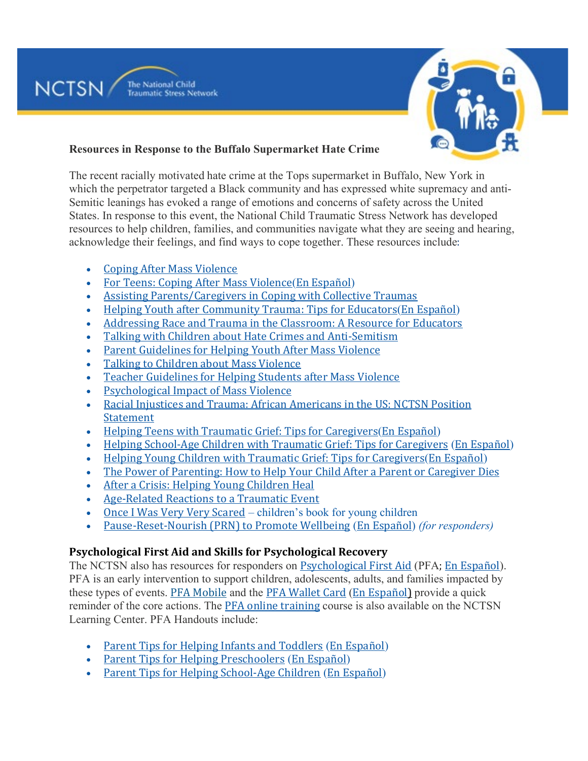

#### **Resources in Response to the Buffalo Supermarket Hate Crime**

The recent racially motivated hate crime at the Tops supermarket in Buffalo, New York in which the perpetrator targeted a Black community and has expressed white supremacy and anti-Semitic leanings has evoked a range of emotions and concerns of safety across the United States. In response to this event, the National Child Traumatic Stress Network has developed resources to help children, families, and communities navigate what they are seeing and hearing, acknowledge their feelings, and find ways to cope together. These resources include:

• Coping After Mass [Violence](https://nam11.safelinks.protection.outlook.com/?url=https%3A%2F%2Fwww.nctsn.org%2Fresources%2Fcoping-after-mass-violence&data=05%7C01%7CMKeleher%40som.umaryland.edu%7C9bf1d481575b4ba11c4508da37369aa6%7C717009a620de461a88940312a395cac9%7C0%7C0%7C637883004917411467%7CUnknown%7CTWFpbGZsb3d8eyJWIjoiMC4wLjAwMDAiLCJQIjoiV2luMzIiLCJBTiI6Ik1haWwiLCJXVCI6Mn0%3D%7C3000%7C%7C%7C&sdata=AIkVeCMa7UxciNvKOICG%2FucjtqA6sjCE%2FU6AUw6URYE%3D&reserved=0)

The National Child

**NCTSN** 

- For Teens: Coping After Mass [Violence](https://nam11.safelinks.protection.outlook.com/?url=https%3A%2F%2Fwww.nctsn.org%2Fsites%2Fdefault%2Ffiles%2Fresources%2Ffact-sheet%2Ffor_teens_coping_after_mass_violence.pdf&data=05%7C01%7CMKeleher%40som.umaryland.edu%7C9bf1d481575b4ba11c4508da37369aa6%7C717009a620de461a88940312a395cac9%7C0%7C0%7C637883004917411467%7CUnknown%7CTWFpbGZsb3d8eyJWIjoiMC4wLjAwMDAiLCJQIjoiV2luMzIiLCJBTiI6Ik1haWwiLCJXVCI6Mn0%3D%7C3000%7C%7C%7C&sdata=zjGMs6zzxS2yeFU6h28Xjc1PXGBKHz75apOrwefZ3aE%3D&reserved=0)(En [Español](https://nam11.safelinks.protection.outlook.com/?url=https%3A%2F%2Fwww.nctsn.org%2Fresources%2Ffor-teens-coping-after-mass-violence-sp&data=05%7C01%7CMKeleher%40som.umaryland.edu%7C9bf1d481575b4ba11c4508da37369aa6%7C717009a620de461a88940312a395cac9%7C0%7C0%7C637883004917411467%7CUnknown%7CTWFpbGZsb3d8eyJWIjoiMC4wLjAwMDAiLCJQIjoiV2luMzIiLCJBTiI6Ik1haWwiLCJXVCI6Mn0%3D%7C3000%7C%7C%7C&sdata=z216RxRqKmSkoiYQqzivT%2FVNurHjEGdXZYb7Hmf159k%3D&reserved=0))
- Assisting [Parents/Caregivers](https://nam11.safelinks.protection.outlook.com/?url=https%3A%2F%2Fwww.nctsn.org%2Fresources%2Fassisting-parents-caregivers-in-coping-with-collective-traumas&data=05%7C01%7CMKeleher%40som.umaryland.edu%7C9bf1d481575b4ba11c4508da37369aa6%7C717009a620de461a88940312a395cac9%7C0%7C0%7C637883004917411467%7CUnknown%7CTWFpbGZsb3d8eyJWIjoiMC4wLjAwMDAiLCJQIjoiV2luMzIiLCJBTiI6Ik1haWwiLCJXVCI6Mn0%3D%7C3000%7C%7C%7C&sdata=d7AjlYJTpyiMbTbe7QASNOLmKUwNtEnGaEqHFI3VbO4%3D&reserved=0) in Coping with Collective Traumas
- Helping Youth after [Community](https://nam11.safelinks.protection.outlook.com/?url=https%3A%2F%2Fwww.nctsn.org%2Fresources%2Fhelping-youth-after-community-trauma-tips-educators&data=05%7C01%7CMKeleher%40som.umaryland.edu%7C9bf1d481575b4ba11c4508da37369aa6%7C717009a620de461a88940312a395cac9%7C0%7C0%7C637883004917411467%7CUnknown%7CTWFpbGZsb3d8eyJWIjoiMC4wLjAwMDAiLCJQIjoiV2luMzIiLCJBTiI6Ik1haWwiLCJXVCI6Mn0%3D%7C3000%7C%7C%7C&sdata=UN8PYle%2FVGAEyKa3E6Ar4ViCeWdwp6iFow5kVyeqjHQ%3D&reserved=0) Trauma: Tips for Educators(En [Español](https://nam11.safelinks.protection.outlook.com/?url=https%3A%2F%2Fwww.nctsn.org%2Fresources%2Fhelping-youth-after-community-trauma-tips-educators-sp&data=05%7C01%7CMKeleher%40som.umaryland.edu%7C9bf1d481575b4ba11c4508da37369aa6%7C717009a620de461a88940312a395cac9%7C0%7C0%7C637883004917411467%7CUnknown%7CTWFpbGZsb3d8eyJWIjoiMC4wLjAwMDAiLCJQIjoiV2luMzIiLCJBTiI6Ik1haWwiLCJXVCI6Mn0%3D%7C3000%7C%7C%7C&sdata=R5B9uwRR8VKhyGcn0GzlcbufJbY1KqkDHoi3EJ43Vn4%3D&reserved=0))
- [Addressing](https://nam11.safelinks.protection.outlook.com/?url=https%3A%2F%2Fwww.nctsn.org%2Fresources%2Faddressing-race-and-trauma-classroom-resource-educators&data=05%7C01%7CMKeleher%40som.umaryland.edu%7C9bf1d481575b4ba11c4508da37369aa6%7C717009a620de461a88940312a395cac9%7C0%7C0%7C637883004917411467%7CUnknown%7CTWFpbGZsb3d8eyJWIjoiMC4wLjAwMDAiLCJQIjoiV2luMzIiLCJBTiI6Ik1haWwiLCJXVCI6Mn0%3D%7C3000%7C%7C%7C&sdata=UNOqyP8UTpu2hGVWyDSZPi9owODcIGwd8rCCq%2B%2BkSeY%3D&reserved=0) Race and Trauma in the Classroom: A Resource for Educators
- Talking with Children about Hate Crimes and [Anti-Semitism](https://nam11.safelinks.protection.outlook.com/?url=https%3A%2F%2Fwww.nctsn.org%2Fresources%2Ftalking-to-children-about-hate-crimes-and-anti-semitism&data=05%7C01%7CMKeleher%40som.umaryland.edu%7C9bf1d481575b4ba11c4508da37369aa6%7C717009a620de461a88940312a395cac9%7C0%7C0%7C637883004917411467%7CUnknown%7CTWFpbGZsb3d8eyJWIjoiMC4wLjAwMDAiLCJQIjoiV2luMzIiLCJBTiI6Ik1haWwiLCJXVCI6Mn0%3D%7C3000%7C%7C%7C&sdata=Mx5mDv8g3hhfEPnP1G%2F3dDZTQtbJP7i9bt6uUdJ9kmE%3D&reserved=0)
- Parent [Guidelines](https://nam11.safelinks.protection.outlook.com/?url=https%3A%2F%2Fwww.nctsn.org%2Fresources%2Fparent-guidelines-helping-youth-after-mass-violence&data=05%7C01%7CMKeleher%40som.umaryland.edu%7C9bf1d481575b4ba11c4508da37369aa6%7C717009a620de461a88940312a395cac9%7C0%7C0%7C637883004917411467%7CUnknown%7CTWFpbGZsb3d8eyJWIjoiMC4wLjAwMDAiLCJQIjoiV2luMzIiLCJBTiI6Ik1haWwiLCJXVCI6Mn0%3D%7C3000%7C%7C%7C&sdata=1OwwDReGx0orkN1lGHZOdd0zvCgoV3tcBpc2UfDEy4c%3D&reserved=0) for Helping Youth After Mass Violence
- Talking to [Children](https://nam11.safelinks.protection.outlook.com/?url=https%3A%2F%2Fwww.nctsn.org%2Fresources%2Ftalking-children-about-mass-violence&data=05%7C01%7CMKeleher%40som.umaryland.edu%7C9bf1d481575b4ba11c4508da37369aa6%7C717009a620de461a88940312a395cac9%7C0%7C0%7C637883004917411467%7CUnknown%7CTWFpbGZsb3d8eyJWIjoiMC4wLjAwMDAiLCJQIjoiV2luMzIiLCJBTiI6Ik1haWwiLCJXVCI6Mn0%3D%7C3000%7C%7C%7C&sdata=OYJiZb0cKYlTBdcPYILj3nJtTDJ%2BBjX3AYWzbcloWVs%3D&reserved=0) about Mass Violence
- Teacher [Guidelines](https://nam11.safelinks.protection.outlook.com/?url=https%3A%2F%2Fwww.nctsn.org%2Fresources%2Fteacher-guidelines-helping-students-after-mass-violence&data=05%7C01%7CMKeleher%40som.umaryland.edu%7C9bf1d481575b4ba11c4508da37369aa6%7C717009a620de461a88940312a395cac9%7C0%7C0%7C637883004917411467%7CUnknown%7CTWFpbGZsb3d8eyJWIjoiMC4wLjAwMDAiLCJQIjoiV2luMzIiLCJBTiI6Ik1haWwiLCJXVCI6Mn0%3D%7C3000%7C%7C%7C&sdata=6pvrHW0BHi0i3uA2NE%2BSmkXmK0uewtl2Trv%2FHWwCJIA%3D&reserved=0) for Helping Students after Mass Violence
- [Psychological](https://nam11.safelinks.protection.outlook.com/?url=https%3A%2F%2Fwww.nctsn.org%2Fresources%2Fpsychological-impact-mass-violence&data=05%7C01%7CMKeleher%40som.umaryland.edu%7C9bf1d481575b4ba11c4508da37369aa6%7C717009a620de461a88940312a395cac9%7C0%7C0%7C637883004917411467%7CUnknown%7CTWFpbGZsb3d8eyJWIjoiMC4wLjAwMDAiLCJQIjoiV2luMzIiLCJBTiI6Ik1haWwiLCJXVCI6Mn0%3D%7C3000%7C%7C%7C&sdata=AX4%2B4wR0NP9LtTFfcUxbVjLml0sKyDXO5iTsc03fBqo%3D&reserved=0) Impact of Mass Violence
- Racial Injustices and Trauma: African [Americans](https://nam11.safelinks.protection.outlook.com/?url=https%3A%2F%2Fwww.nctsn.org%2Fresources%2Fracial-injustice-and-trauma-african-americans-us-nctsn-position-statement&data=05%7C01%7CMKeleher%40som.umaryland.edu%7C9bf1d481575b4ba11c4508da37369aa6%7C717009a620de461a88940312a395cac9%7C0%7C0%7C637883004917411467%7CUnknown%7CTWFpbGZsb3d8eyJWIjoiMC4wLjAwMDAiLCJQIjoiV2luMzIiLCJBTiI6Ik1haWwiLCJXVCI6Mn0%3D%7C3000%7C%7C%7C&sdata=hQNhphjN%2FYf3dth%2Fd4tq69nkn7Lz8joLefa1vuEGp4k%3D&reserved=0) in the US: NCTSN Position [Statement](https://nam11.safelinks.protection.outlook.com/?url=https%3A%2F%2Fwww.nctsn.org%2Fresources%2Fracial-injustice-and-trauma-african-americans-us-nctsn-position-statement&data=05%7C01%7CMKeleher%40som.umaryland.edu%7C9bf1d481575b4ba11c4508da37369aa6%7C717009a620de461a88940312a395cac9%7C0%7C0%7C637883004917411467%7CUnknown%7CTWFpbGZsb3d8eyJWIjoiMC4wLjAwMDAiLCJQIjoiV2luMzIiLCJBTiI6Ik1haWwiLCJXVCI6Mn0%3D%7C3000%7C%7C%7C&sdata=hQNhphjN%2FYf3dth%2Fd4tq69nkn7Lz8joLefa1vuEGp4k%3D&reserved=0)
- Helping Teens with Traumatic Grief: Tips for [Caregivers](https://nam11.safelinks.protection.outlook.com/?url=https%3A%2F%2Furldefense.proofpoint.com%2Fv2%2Furl%3Fu%3Dhttps-3A__www.nctsn.org_resources_helping-2Dteens-2Dtraumatic-2Dgrief-2Dtips-2Dcaregivers%26d%3DDwMF-g%26c%3DUXmaowRpu5bLSLEQRunJ2z-YIUZuUoa9Rw_x449Hd_Y%26r%3DhzomOGg2G27ZjuZegYWWfu4EgrpiGCT_JunBM07Lj7Q%26m%3DPBo3q666RV0D6LuBFBnhXOvT09TTW0IR5fip18WrYZk%26s%3DUB9pSkIrdPpdA5UXjXa99VYSE458B68_jdqM09vqn5g%26e%3D&data=05%7C01%7CMKeleher%40som.umaryland.edu%7C9bf1d481575b4ba11c4508da37369aa6%7C717009a620de461a88940312a395cac9%7C0%7C0%7C637883004917411467%7CUnknown%7CTWFpbGZsb3d8eyJWIjoiMC4wLjAwMDAiLCJQIjoiV2luMzIiLCJBTiI6Ik1haWwiLCJXVCI6Mn0%3D%7C3000%7C%7C%7C&sdata=S9mqYpwb6vOInlpGbxUAuxegzxnFYTiN8YLsB5kRjSY%3D&reserved=0) (En [Español](https://nam11.safelinks.protection.outlook.com/?url=https%3A%2F%2Fwww.nctsn.org%2Fsites%2Fdefault%2Ffiles%2Fresources%2Ftip-sheet%2Fhelping-teens-with-traumatic-grief-for-caregivers-sp.pdf&data=05%7C01%7CMKeleher%40som.umaryland.edu%7C9bf1d481575b4ba11c4508da37369aa6%7C717009a620de461a88940312a395cac9%7C0%7C0%7C637883004917411467%7CUnknown%7CTWFpbGZsb3d8eyJWIjoiMC4wLjAwMDAiLCJQIjoiV2luMzIiLCJBTiI6Ik1haWwiLCJXVCI6Mn0%3D%7C3000%7C%7C%7C&sdata=3SzRDiogUy0LhDDRjSsU3Os06leo5NKlQ%2FwVv7ZK97Q%3D&reserved=0))
- Helping [School-Age](https://nam11.safelinks.protection.outlook.com/?url=https%3A%2F%2Furldefense.proofpoint.com%2Fv2%2Furl%3Fu%3Dhttps-3A__www.nctsn.org_resources_helping-2Dschool-2Dage-2Dchildren-2Dtraumatic-2Dgrief-2Dtips-2Dcaregivers%26d%3DDwMF-g%26c%3DUXmaowRpu5bLSLEQRunJ2z-YIUZuUoa9Rw_x449Hd_Y%26r%3DhzomOGg2G27ZjuZegYWWfu4EgrpiGCT_JunBM07Lj7Q%26m%3DPBo3q666RV0D6LuBFBnhXOvT09TTW0IR5fip18WrYZk%26s%3DZWzXei6w0w2OpuzcyeZOJ33CNYucR4qIxFhFhlnDYAQ%26e%3D&data=05%7C01%7CMKeleher%40som.umaryland.edu%7C9bf1d481575b4ba11c4508da37369aa6%7C717009a620de461a88940312a395cac9%7C0%7C0%7C637883004917411467%7CUnknown%7CTWFpbGZsb3d8eyJWIjoiMC4wLjAwMDAiLCJQIjoiV2luMzIiLCJBTiI6Ik1haWwiLCJXVCI6Mn0%3D%7C3000%7C%7C%7C&sdata=KJYHO8IPXbs1wF80I3kOT3pOAWwtTVaoQzl118HnqTo%3D&reserved=0) Children with Traumatic Grief: Tips for Caregivers (En [Español](https://nam11.safelinks.protection.outlook.com/?url=https%3A%2F%2Fwww.nctsn.org%2Fresources%2Fhelping-school-age-children-traumatic-grief-tips-caregivers-sp&data=05%7C01%7CMKeleher%40som.umaryland.edu%7C9bf1d481575b4ba11c4508da37369aa6%7C717009a620de461a88940312a395cac9%7C0%7C0%7C637883004917411467%7CUnknown%7CTWFpbGZsb3d8eyJWIjoiMC4wLjAwMDAiLCJQIjoiV2luMzIiLCJBTiI6Ik1haWwiLCJXVCI6Mn0%3D%7C3000%7C%7C%7C&sdata=nqS3HXZf%2ByAg4rtHjD3i1zFGn3luzLUuWU7UyN5Rj4w%3D&reserved=0))
- Helping Young Children with Traumatic Grief: Tips for [Caregivers](https://nam11.safelinks.protection.outlook.com/?url=https%3A%2F%2Furldefense.proofpoint.com%2Fv2%2Furl%3Fu%3Dhttps-3A__www.nctsn.org_resources_helping-2Dyoung-2Dchildren-2Dtraumatic-2Dgrief-2Dtips-2Dcaregivers%26d%3DDwMF-g%26c%3DUXmaowRpu5bLSLEQRunJ2z-YIUZuUoa9Rw_x449Hd_Y%26r%3DhzomOGg2G27ZjuZegYWWfu4EgrpiGCT_JunBM07Lj7Q%26m%3DPBo3q666RV0D6LuBFBnhXOvT09TTW0IR5fip18WrYZk%26s%3DQ9x-ra0PpbsJCCBnAAQVt8sFwTY6KaNuou5mywYI9HA%26e%3D&data=05%7C01%7CMKeleher%40som.umaryland.edu%7C9bf1d481575b4ba11c4508da37369aa6%7C717009a620de461a88940312a395cac9%7C0%7C0%7C637883004917411467%7CUnknown%7CTWFpbGZsb3d8eyJWIjoiMC4wLjAwMDAiLCJQIjoiV2luMzIiLCJBTiI6Ik1haWwiLCJXVCI6Mn0%3D%7C3000%7C%7C%7C&sdata=fTiH8Raf7jIPuHJnU8z0PuIzQAREnrOw8EMqGcsl%2FiY%3D&reserved=0)(En [Español](https://nam11.safelinks.protection.outlook.com/?url=https%3A%2F%2Fwww.nctsn.org%2Fresources%2Fhelping-young-children-traumatic-grief-tips-caregivers-sp&data=05%7C01%7CMKeleher%40som.umaryland.edu%7C9bf1d481575b4ba11c4508da37369aa6%7C717009a620de461a88940312a395cac9%7C0%7C0%7C637883004917411467%7CUnknown%7CTWFpbGZsb3d8eyJWIjoiMC4wLjAwMDAiLCJQIjoiV2luMzIiLCJBTiI6Ik1haWwiLCJXVCI6Mn0%3D%7C3000%7C%7C%7C&sdata=UF6KyvXK9hfxKxrNQTbnxE4W3GMVV6MC8dBJVXJAh6I%3D&reserved=0))
- The Power of [Parenting:](https://nam11.safelinks.protection.outlook.com/?url=https%3A%2F%2Furldefense.proofpoint.com%2Fv2%2Furl%3Fu%3Dhttps-3A__www.nctsn.org_resources_power-2Dof-2Dparenting-2Dhow-2Dto-2Dhelp-2Dyour-2Dchild-2Dafter-2Da-2Dparent-2Dor-2Dcaregiver-2Ddies%26d%3DDwMF-g%26c%3DUXmaowRpu5bLSLEQRunJ2z-YIUZuUoa9Rw_x449Hd_Y%26r%3DhzomOGg2G27ZjuZegYWWfu4EgrpiGCT_JunBM07Lj7Q%26m%3DPBo3q666RV0D6LuBFBnhXOvT09TTW0IR5fip18WrYZk%26s%3DvrLUBVRLXcoxW7y-IE7MY3pDIFJBDpn6Ow4V7lkXotY%26e%3D&data=05%7C01%7CMKeleher%40som.umaryland.edu%7C9bf1d481575b4ba11c4508da37369aa6%7C717009a620de461a88940312a395cac9%7C0%7C0%7C637883004917411467%7CUnknown%7CTWFpbGZsb3d8eyJWIjoiMC4wLjAwMDAiLCJQIjoiV2luMzIiLCJBTiI6Ik1haWwiLCJXVCI6Mn0%3D%7C3000%7C%7C%7C&sdata=lM834cFrmwBxXzAfniUA0AIeix5O%2Bs3Sz5d7Lgif9WI%3D&reserved=0) How to Help Your Child After a Parent or Caregiver Dies
- After a Crisis: Helping Young [Children](https://nam11.safelinks.protection.outlook.com/?url=https%3A%2F%2Fwww.nctsn.org%2Fresources%2Fafter-crisis-helping-young-children-heal&data=05%7C01%7CMKeleher%40som.umaryland.edu%7C9bf1d481575b4ba11c4508da37369aa6%7C717009a620de461a88940312a395cac9%7C0%7C0%7C637883004917411467%7CUnknown%7CTWFpbGZsb3d8eyJWIjoiMC4wLjAwMDAiLCJQIjoiV2luMzIiLCJBTiI6Ik1haWwiLCJXVCI6Mn0%3D%7C3000%7C%7C%7C&sdata=8wSqUvrTPAnE%2BzcQiaUuJQFEKuubwxcmIbwg4FBh1KQ%3D&reserved=0) Heal
- [Age-Related](https://nam11.safelinks.protection.outlook.com/?url=https%3A%2F%2Fwww.nctsn.org%2Fresources%2Fage-related-reactions-traumatic-event&data=05%7C01%7CMKeleher%40som.umaryland.edu%7C9bf1d481575b4ba11c4508da37369aa6%7C717009a620de461a88940312a395cac9%7C0%7C0%7C637883004917411467%7CUnknown%7CTWFpbGZsb3d8eyJWIjoiMC4wLjAwMDAiLCJQIjoiV2luMzIiLCJBTiI6Ik1haWwiLCJXVCI6Mn0%3D%7C3000%7C%7C%7C&sdata=kb9p4DbzmYfI7kXtO0SOhVKtuQSOKHgKCNyH2NFfKP8%3D&reserved=0) Reactions to a Traumatic Event
- Once I Was Very Very [Scared](https://nam11.safelinks.protection.outlook.com/?url=https%3A%2F%2Fpiploproductions.com%2Fstories%2Fonce%2F&data=05%7C01%7CMKeleher%40som.umaryland.edu%7C9bf1d481575b4ba11c4508da37369aa6%7C717009a620de461a88940312a395cac9%7C0%7C0%7C637883004917411467%7CUnknown%7CTWFpbGZsb3d8eyJWIjoiMC4wLjAwMDAiLCJQIjoiV2luMzIiLCJBTiI6Ik1haWwiLCJXVCI6Mn0%3D%7C3000%7C%7C%7C&sdata=m4QdeHJmYQq%2B2l1ienpblRJVodhuZJ5VFaifGbvaW%2Fw%3D&reserved=0) children's book for young children
- [Pause-Reset-Nourish](https://nam11.safelinks.protection.outlook.com/?url=https%3A%2F%2Fwww.nctsn.org%2Fresources%2Fpause-reset-nourish-to-promote-wellbeing-use-as-needed-to-care-for-your-wellness&data=05%7C01%7CMKeleher%40som.umaryland.edu%7C9bf1d481575b4ba11c4508da37369aa6%7C717009a620de461a88940312a395cac9%7C0%7C0%7C637883004917411467%7CUnknown%7CTWFpbGZsb3d8eyJWIjoiMC4wLjAwMDAiLCJQIjoiV2luMzIiLCJBTiI6Ik1haWwiLCJXVCI6Mn0%3D%7C3000%7C%7C%7C&sdata=6aUFwU6UQmCL5KHWdt4cB7TGINpHucnXxuqCUbgvsKc%3D&reserved=0) (PRN) to Promote Wellbeing (En [Español](https://nam11.safelinks.protection.outlook.com/?url=https%3A%2F%2Fwww.nctsn.org%2Fresources%2Fprn-to-promote-wellbeing-as-needed-to-care-for-your-wellness-sp&data=05%7C01%7CMKeleher%40som.umaryland.edu%7C9bf1d481575b4ba11c4508da37369aa6%7C717009a620de461a88940312a395cac9%7C0%7C0%7C637883004917411467%7CUnknown%7CTWFpbGZsb3d8eyJWIjoiMC4wLjAwMDAiLCJQIjoiV2luMzIiLCJBTiI6Ik1haWwiLCJXVCI6Mn0%3D%7C3000%7C%7C%7C&sdata=JEuh5Tca1YoSgeKss8%2FDccSdE011vqnpy%2BmNfmS53vo%3D&reserved=0)) *(for responders)*

## **Psychological First Aid and Skills for Psychological Recovery**

The NCTSN also has resources for responders on [Psychological](https://nam11.safelinks.protection.outlook.com/?url=https%3A%2F%2Furldefense.com%2Fv3%2F__https%3A%2Fwww.nctsn.org%2Fresources%2Fpsychological-first-aid-pfa-field-operations-guide-2nd-edition__%3B!!F9wkZZsI-LA!SIUd2q2njiJ43vJbtUGCEzLFZoCI14Jsv1upSAIdkNbS-wUig4YMKjsW27WviG5a6caP%24&data=05%7C01%7CMKeleher%40som.umaryland.edu%7C9bf1d481575b4ba11c4508da37369aa6%7C717009a620de461a88940312a395cac9%7C0%7C0%7C637883004917411467%7CUnknown%7CTWFpbGZsb3d8eyJWIjoiMC4wLjAwMDAiLCJQIjoiV2luMzIiLCJBTiI6Ik1haWwiLCJXVCI6Mn0%3D%7C3000%7C%7C%7C&sdata=D4zGEmCzS9bfNR5S9yq%2BU2yAv6ZRjXyvs34UI6iTpYI%3D&reserved=0) First Aid (PFA; En [Español](https://nam11.safelinks.protection.outlook.com/?url=https%3A%2F%2Furldefense.com%2Fv3%2F__https%3A%2Fwww.nctsn.org%2Fresources%2Fprimeros-auxilios-psicologicos-guia-de-operaciones-practicas-2da-edicion__%3B!!F9wkZZsI-LA!SIUd2q2njiJ43vJbtUGCEzLFZoCI14Jsv1upSAIdkNbS-wUig4YMKjsW27WviGtpkaxs%24&data=05%7C01%7CMKeleher%40som.umaryland.edu%7C9bf1d481575b4ba11c4508da37369aa6%7C717009a620de461a88940312a395cac9%7C0%7C0%7C637883004917411467%7CUnknown%7CTWFpbGZsb3d8eyJWIjoiMC4wLjAwMDAiLCJQIjoiV2luMzIiLCJBTiI6Ik1haWwiLCJXVCI6Mn0%3D%7C3000%7C%7C%7C&sdata=44UlQ5X49qKHbWgZARPz5TdYFQQFsoHmfMoHHCucSKM%3D&reserved=0)). PFA is an early intervention to support children, adolescents, adults, and families impacted by these types of events. PFA [Mobile](https://nam11.safelinks.protection.outlook.com/?url=https%3A%2F%2Fwww.nctsn.org%2Fresources%2Fpfa-mobile&data=05%7C01%7CMKeleher%40som.umaryland.edu%7C9bf1d481575b4ba11c4508da37369aa6%7C717009a620de461a88940312a395cac9%7C0%7C0%7C637883004917567681%7CUnknown%7CTWFpbGZsb3d8eyJWIjoiMC4wLjAwMDAiLCJQIjoiV2luMzIiLCJBTiI6Ik1haWwiLCJXVCI6Mn0%3D%7C3000%7C%7C%7C&sdata=Jdi0KGELok6Ibi0zmKjT6HbTcUWg6mn1VlcHPru8D18%3D&reserved=0) and the PFA [Wallet](https://nam11.safelinks.protection.outlook.com/?url=https%3A%2F%2Furldefense.com%2Fv3%2F__https%3A%2Fwww.nctsn.org%2Fresources%2Fpsychological-first-aid-pfa-wallet-card__%3B!!F9wkZZsI-LA!SIUd2q2njiJ43vJbtUGCEzLFZoCI14Jsv1upSAIdkNbS-wUig4YMKjsW27WviLYN40Vn%24&data=05%7C01%7CMKeleher%40som.umaryland.edu%7C9bf1d481575b4ba11c4508da37369aa6%7C717009a620de461a88940312a395cac9%7C0%7C0%7C637883004917567681%7CUnknown%7CTWFpbGZsb3d8eyJWIjoiMC4wLjAwMDAiLCJQIjoiV2luMzIiLCJBTiI6Ik1haWwiLCJXVCI6Mn0%3D%7C3000%7C%7C%7C&sdata=HPdnGPan%2FUkRifdmuE2C7tapQdIiE%2BcooESvWz0RujE%3D&reserved=0) Card (En [Español\)](https://nam11.safelinks.protection.outlook.com/?url=https%3A%2F%2Furldefense.com%2Fv3%2F__https%3A%2Fwww.nctsn.org%2Fresources%2Fpsychological-first-aid-pfa-wallet-card-sp__%3B!!F9wkZZsI-LA!SIUd2q2njiJ43vJbtUGCEzLFZoCI14Jsv1upSAIdkNbS-wUig4YMKjsW27WviHEcE2bq%24&data=05%7C01%7CMKeleher%40som.umaryland.edu%7C9bf1d481575b4ba11c4508da37369aa6%7C717009a620de461a88940312a395cac9%7C0%7C0%7C637883004917567681%7CUnknown%7CTWFpbGZsb3d8eyJWIjoiMC4wLjAwMDAiLCJQIjoiV2luMzIiLCJBTiI6Ik1haWwiLCJXVCI6Mn0%3D%7C3000%7C%7C%7C&sdata=yvN3ZLWFMTlIPD9Ht0GtYqAnAwbJLmoNW55ujfkYGFY%3D&reserved=0) provide a quick reminder of the core actions. The PFA online [training](https://nam11.safelinks.protection.outlook.com/?url=https%3A%2F%2Fwww.nctsn.org%2Fresources%2Fpsychological-first-aid-pfa-online&data=05%7C01%7CMKeleher%40som.umaryland.edu%7C9bf1d481575b4ba11c4508da37369aa6%7C717009a620de461a88940312a395cac9%7C0%7C0%7C637883004917567681%7CUnknown%7CTWFpbGZsb3d8eyJWIjoiMC4wLjAwMDAiLCJQIjoiV2luMzIiLCJBTiI6Ik1haWwiLCJXVCI6Mn0%3D%7C3000%7C%7C%7C&sdata=TeBedxepPzWHq4eB8GSu9bhUoIIskzNslKhClr790nw%3D&reserved=0) course is also available on the NCTSN Learning Center. PFA Handouts include:

- Parent Tips for Helping Infants and [Toddlers](https://nam11.safelinks.protection.outlook.com/?url=https%3A%2F%2Furldefense.proofpoint.com%2Fv2%2Furl%3Fu%3Dhttps-3A__www.nctsn.org_resources_pfa-2Dparent-2Dtips-2Dhelping-2Dinfants-2Dand-2Dtoddlers-2Dafter-2Ddisasters%26d%3DDwMFAw%26c%3DUXmaowRpu5bLSLEQRunJ2z-YIUZuUoa9Rw_x449Hd_Y%26r%3DhzomOGg2G27ZjuZegYWWfu4EgrpiGCT_JunBM07Lj7Q%26m%3DhYyW4LMTMiR-uC9EEblTtEJIuxpHI35JAovF_xxNCOI%26s%3DJrXiF8h90Jus2UqHDLzK48UMdMBPhTPqCx-HZ6QzJlg%26e%3D&data=05%7C01%7CMKeleher%40som.umaryland.edu%7C9bf1d481575b4ba11c4508da37369aa6%7C717009a620de461a88940312a395cac9%7C0%7C0%7C637883004917567681%7CUnknown%7CTWFpbGZsb3d8eyJWIjoiMC4wLjAwMDAiLCJQIjoiV2luMzIiLCJBTiI6Ik1haWwiLCJXVCI6Mn0%3D%7C3000%7C%7C%7C&sdata=aj6fCaDar6g4vOr56YRj8z5rEuQnITdcHlr6l%2FLJvWs%3D&reserved=0) (En [Español](https://nam11.safelinks.protection.outlook.com/?url=https%3A%2F%2Furldefense.proofpoint.com%2Fv2%2Furl%3Fu%3Dhttps-3A__www.nctsn.org_resources_pfa-2Dconsejos-2Dpara-2Dpadres-2Dcomo-2Dayudar-2Dbebes-2Dy-2Dninos-2Dpequenos%26d%3DDwMFAw%26c%3DUXmaowRpu5bLSLEQRunJ2z-YIUZuUoa9Rw_x449Hd_Y%26r%3DhzomOGg2G27ZjuZegYWWfu4EgrpiGCT_JunBM07Lj7Q%26m%3DhYyW4LMTMiR-uC9EEblTtEJIuxpHI35JAovF_xxNCOI%26s%3DwLRlmaiV0laSXN90I-yRFz5waSQCcYX0AEXT1kAvyvA%26e%3D&data=05%7C01%7CMKeleher%40som.umaryland.edu%7C9bf1d481575b4ba11c4508da37369aa6%7C717009a620de461a88940312a395cac9%7C0%7C0%7C637883004917567681%7CUnknown%7CTWFpbGZsb3d8eyJWIjoiMC4wLjAwMDAiLCJQIjoiV2luMzIiLCJBTiI6Ik1haWwiLCJXVCI6Mn0%3D%7C3000%7C%7C%7C&sdata=9S7j6wO3%2FI5FLXcb73UHiEoxKuOG0rebl7TDZG7Lv64%3D&reserved=0))
- Parent Tips for Helping [Preschoolers](https://nam11.safelinks.protection.outlook.com/?url=https%3A%2F%2Furldefense.proofpoint.com%2Fv2%2Furl%3Fu%3Dhttps-3A__www.nctsn.org_resources_pfa-2Dparent-2Dtips-2Dhelping-2Dpreschool-2Dage-2Dchildren-2Dafter-2Ddisasters%26d%3DDwMFAw%26c%3DUXmaowRpu5bLSLEQRunJ2z-YIUZuUoa9Rw_x449Hd_Y%26r%3DhzomOGg2G27ZjuZegYWWfu4EgrpiGCT_JunBM07Lj7Q%26m%3DhYyW4LMTMiR-uC9EEblTtEJIuxpHI35JAovF_xxNCOI%26s%3DvzcmN7zEq_u1UAsT1jqcyLsPVOPqh7yhzpkKG4__m1s%26e%3D&data=05%7C01%7CMKeleher%40som.umaryland.edu%7C9bf1d481575b4ba11c4508da37369aa6%7C717009a620de461a88940312a395cac9%7C0%7C0%7C637883004917567681%7CUnknown%7CTWFpbGZsb3d8eyJWIjoiMC4wLjAwMDAiLCJQIjoiV2luMzIiLCJBTiI6Ik1haWwiLCJXVCI6Mn0%3D%7C3000%7C%7C%7C&sdata=E%2B7NHGZospj3BPCEe7ppCvSPUihEVTDkSweAmrpruPw%3D&reserved=0) (En [Español](https://nam11.safelinks.protection.outlook.com/?url=https%3A%2F%2Furldefense.proofpoint.com%2Fv2%2Furl%3Fu%3Dhttps-3A__www.nctsn.org_resources_pfa-2Dconsejos-2Dpara-2Dpadres-2Dcomo-2Dayudar-2Dninos-2Dde-2Dedad-2Dpreescolar%26d%3DDwMFAw%26c%3DUXmaowRpu5bLSLEQRunJ2z-YIUZuUoa9Rw_x449Hd_Y%26r%3DhzomOGg2G27ZjuZegYWWfu4EgrpiGCT_JunBM07Lj7Q%26m%3DhYyW4LMTMiR-uC9EEblTtEJIuxpHI35JAovF_xxNCOI%26s%3Dm_m18T23RKe_CjsRgv4RUe88rFMfkhZnbR_daUV18ng%26e%3D&data=05%7C01%7CMKeleher%40som.umaryland.edu%7C9bf1d481575b4ba11c4508da37369aa6%7C717009a620de461a88940312a395cac9%7C0%7C0%7C637883004917567681%7CUnknown%7CTWFpbGZsb3d8eyJWIjoiMC4wLjAwMDAiLCJQIjoiV2luMzIiLCJBTiI6Ik1haWwiLCJXVCI6Mn0%3D%7C3000%7C%7C%7C&sdata=OW%2BFoVMPtMo4jTm61%2Bsd5ZFQD1Xc7E6yIlDCeiJ%2FMZ0%3D&reserved=0))
- Parent Tips for Helping [School-Age](https://nam11.safelinks.protection.outlook.com/?url=https%3A%2F%2Furldefense.proofpoint.com%2Fv2%2Furl%3Fu%3Dhttps-3A__www.nctsn.org_resources_pfa-2Dparent-2Dtips-2Dhelping-2Dschool-2Dage-2Dchildren-2Dafter-2Ddisasters%26d%3DDwMFAw%26c%3DUXmaowRpu5bLSLEQRunJ2z-YIUZuUoa9Rw_x449Hd_Y%26r%3DhzomOGg2G27ZjuZegYWWfu4EgrpiGCT_JunBM07Lj7Q%26m%3DhYyW4LMTMiR-uC9EEblTtEJIuxpHI35JAovF_xxNCOI%26s%3DmDIm0iUVkxiRXLGEfkOlF4PJVLNYd8rkPSva9A_S4Xg%26e%3D&data=05%7C01%7CMKeleher%40som.umaryland.edu%7C9bf1d481575b4ba11c4508da37369aa6%7C717009a620de461a88940312a395cac9%7C0%7C0%7C637883004917567681%7CUnknown%7CTWFpbGZsb3d8eyJWIjoiMC4wLjAwMDAiLCJQIjoiV2luMzIiLCJBTiI6Ik1haWwiLCJXVCI6Mn0%3D%7C3000%7C%7C%7C&sdata=4kSF7t3sMcoJY0YfpuNrlIySpixb511WxkN%2BT3U6AY4%3D&reserved=0) Children (En [Español](https://nam11.safelinks.protection.outlook.com/?url=https%3A%2F%2Furldefense.proofpoint.com%2Fv2%2Furl%3Fu%3Dhttps-3A__www.nctsn.org_resources_pfa-2Dconsejos-2Dpara-2Dpadres-2Dcomo-2Dayudar-2Dninos-2Dde-2Dedad-2Descolar%26d%3DDwMFAw%26c%3DUXmaowRpu5bLSLEQRunJ2z-YIUZuUoa9Rw_x449Hd_Y%26r%3DhzomOGg2G27ZjuZegYWWfu4EgrpiGCT_JunBM07Lj7Q%26m%3DhYyW4LMTMiR-uC9EEblTtEJIuxpHI35JAovF_xxNCOI%26s%3DQ5x2Bvnnp7_a0xkB01DeGbf9KM1HDHkYTMfzgxOHvvU%26e%3D&data=05%7C01%7CMKeleher%40som.umaryland.edu%7C9bf1d481575b4ba11c4508da37369aa6%7C717009a620de461a88940312a395cac9%7C0%7C0%7C637883004917567681%7CUnknown%7CTWFpbGZsb3d8eyJWIjoiMC4wLjAwMDAiLCJQIjoiV2luMzIiLCJBTiI6Ik1haWwiLCJXVCI6Mn0%3D%7C3000%7C%7C%7C&sdata=JgTBkEU0VgGv70rLhoDBb4fj1Yr5UKgp7M12U04N5KI%3D&reserved=0))